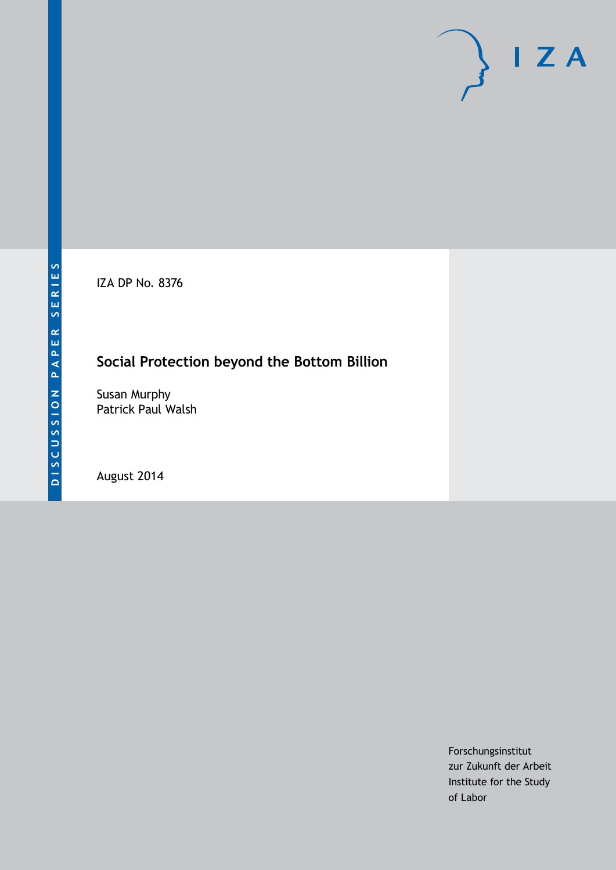IZA DP No. 8376

# **Social Protection beyond the Bottom Billion**

Susan Murphy Patrick Paul Walsh

August 2014

Forschungsinstitut zur Zukunft der Arbeit Institute for the Study of Labor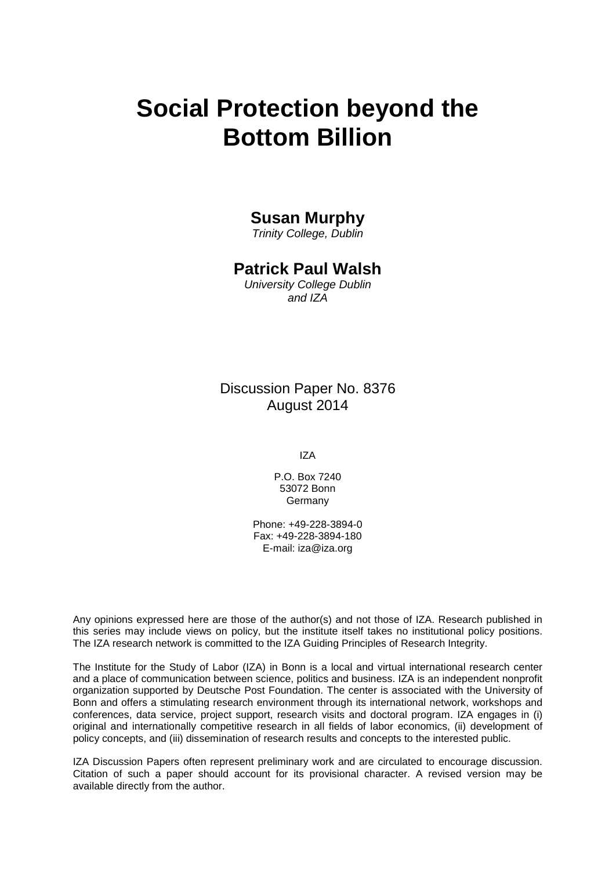# **Social Protection beyond the Bottom Billion**

## **Susan Murphy**

*Trinity College, Dublin*

## **Patrick Paul Walsh**

*University College Dublin and IZA*

Discussion Paper No. 8376 August 2014

IZA

P.O. Box 7240 53072 Bonn Germany

Phone: +49-228-3894-0 Fax: +49-228-3894-180 E-mail: [iza@iza.org](mailto:iza@iza.org)

Any opinions expressed here are those of the author(s) and not those of IZA. Research published in this series may include views on policy, but the institute itself takes no institutional policy positions. The IZA research network is committed to the IZA Guiding Principles of Research Integrity.

The Institute for the Study of Labor (IZA) in Bonn is a local and virtual international research center and a place of communication between science, politics and business. IZA is an independent nonprofit organization supported by Deutsche Post Foundation. The center is associated with the University of Bonn and offers a stimulating research environment through its international network, workshops and conferences, data service, project support, research visits and doctoral program. IZA engages in (i) original and internationally competitive research in all fields of labor economics, (ii) development of policy concepts, and (iii) dissemination of research results and concepts to the interested public.

<span id="page-1-0"></span>IZA Discussion Papers often represent preliminary work and are circulated to encourage discussion. Citation of such a paper should account for its provisional character. A revised version may be available directly from the author.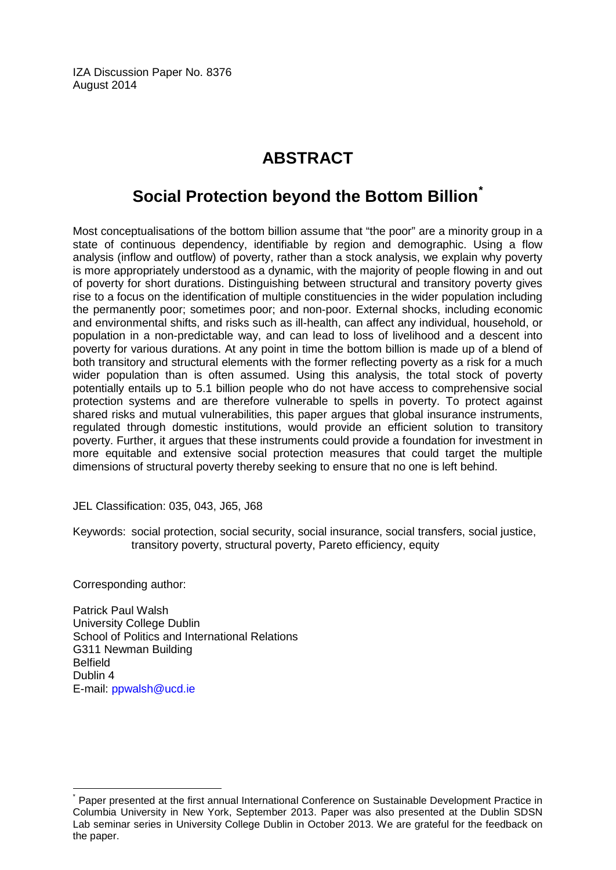IZA Discussion Paper No. 8376 August 2014

# **ABSTRACT**

# **Social Protection beyond the Bottom Billion[\\*](#page-1-0)**

Most conceptualisations of the bottom billion assume that "the poor" are a minority group in a state of continuous dependency, identifiable by region and demographic. Using a flow analysis (inflow and outflow) of poverty, rather than a stock analysis, we explain why poverty is more appropriately understood as a dynamic, with the majority of people flowing in and out of poverty for short durations. Distinguishing between structural and transitory poverty gives rise to a focus on the identification of multiple constituencies in the wider population including the permanently poor; sometimes poor; and non-poor. External shocks, including economic and environmental shifts, and risks such as ill-health, can affect any individual, household, or population in a non-predictable way, and can lead to loss of livelihood and a descent into poverty for various durations. At any point in time the bottom billion is made up of a blend of both transitory and structural elements with the former reflecting poverty as a risk for a much wider population than is often assumed. Using this analysis, the total stock of poverty potentially entails up to 5.1 billion people who do not have access to comprehensive social protection systems and are therefore vulnerable to spells in poverty. To protect against shared risks and mutual vulnerabilities, this paper argues that global insurance instruments, regulated through domestic institutions, would provide an efficient solution to transitory poverty. Further, it argues that these instruments could provide a foundation for investment in more equitable and extensive social protection measures that could target the multiple dimensions of structural poverty thereby seeking to ensure that no one is left behind.

JEL Classification: 035, 043, J65, J68

Keywords: social protection, social security, social insurance, social transfers, social justice, transitory poverty, structural poverty, Pareto efficiency, equity

Corresponding author:

Patrick Paul Walsh University College Dublin School of Politics and International Relations G311 Newman Building Belfield Dublin 4 E-mail: [ppwalsh@ucd.ie](mailto:ppwalsh@ucd.ie)

Paper presented at the first annual International Conference on Sustainable Development Practice in Columbia University in New York, September 2013. Paper was also presented at the Dublin SDSN Lab seminar series in University College Dublin in October 2013. We are grateful for the feedback on the paper.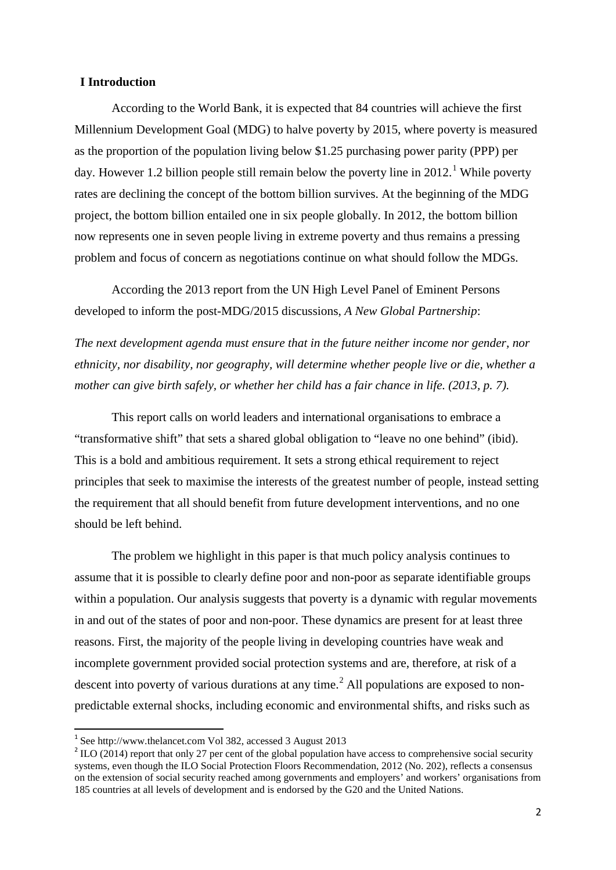#### **I Introduction**

According to the World Bank, it is expected that 84 countries will achieve the first Millennium Development Goal (MDG) to halve poverty by 2015, where poverty is measured as the proportion of the population living below \$1.25 purchasing power parity (PPP) per day. However 1.2 billion people still remain below the poverty line in  $2012$ .<sup>1</sup> While poverty rates are declining the concept of the bottom billion survives. At the beginning of the MDG project, the bottom billion entailed one in six people globally. In 2012, the bottom billion now represents one in seven people living in extreme poverty and thus remains a pressing problem and focus of concern as negotiations continue on what should follow the MDGs.

According the 2013 report from the UN High Level Panel of Eminent Persons developed to inform the post-MDG/2015 discussions, *A New Global Partnership*:

*The next development agenda must ensure that in the future neither income nor gender, nor ethnicity, nor disability, nor geography, will determine whether people live or die, whether a mother can give birth safely, or whether her child has a fair chance in life. (2013, p. 7).* 

This report calls on world leaders and international organisations to embrace a "transformative shift" that sets a shared global obligation to "leave no one behind" (ibid). This is a bold and ambitious requirement. It sets a strong ethical requirement to reject principles that seek to maximise the interests of the greatest number of people, instead setting the requirement that all should benefit from future development interventions, and no one should be left behind.

The problem we highlight in this paper is that much policy analysis continues to assume that it is possible to clearly define poor and non-poor as separate identifiable groups within a population. Our analysis suggests that poverty is a dynamic with regular movements in and out of the states of poor and non-poor. These dynamics are present for at least three reasons. First, the majority of the people living in developing countries have weak and incomplete government provided social protection systems and are, therefore, at risk of a descent into poverty of various durations at any time.<sup>[2](#page-3-0)</sup> All populations are exposed to nonpredictable external shocks, including economic and environmental shifts, and risks such as

<span id="page-3-1"></span> <sup>1</sup> See http://www.thelancet.com Vol 382, accessed 3 August 2013

<span id="page-3-0"></span> $^{2}$  ILO (2014) report that only 27 per cent of the global population have access to comprehensive social security systems, even though the ILO Social Protection Floors Recommendation, 2012 (No. 202), reflects a consensus on the extension of social security reached among governments and employers' and workers' organisations from 185 countries at all levels of development and is endorsed by the G20 and the United Nations.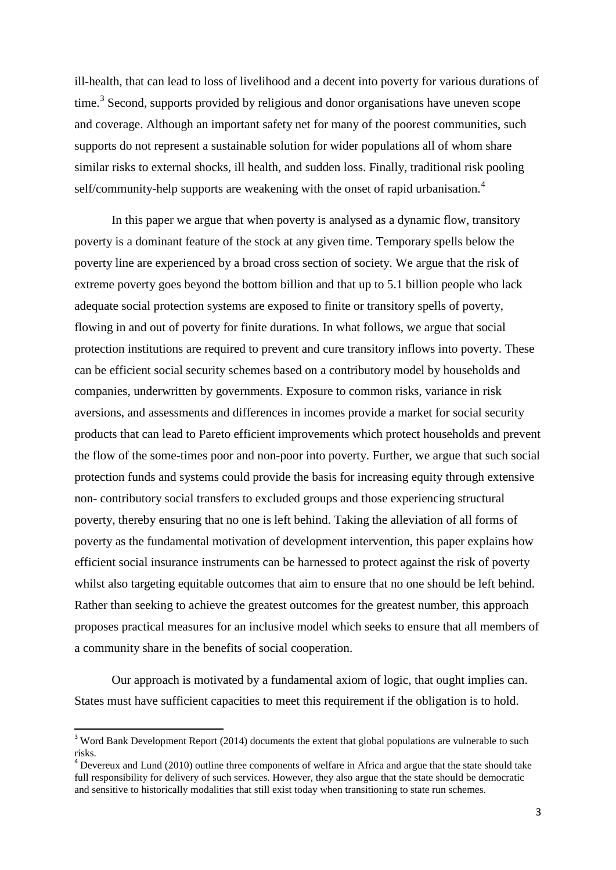ill-health, that can lead to loss of livelihood and a decent into poverty for various durations of time.<sup>[3](#page-3-1)</sup> Second, supports provided by religious and donor organisations have uneven scope and coverage. Although an important safety net for many of the poorest communities, such supports do not represent a sustainable solution for wider populations all of whom share similar risks to external shocks, ill health, and sudden loss. Finally, traditional risk pooling self/community-help supports are weakening with the onset of rapid urbanisation.<sup>[4](#page-4-0)</sup>

In this paper we argue that when poverty is analysed as a dynamic flow, transitory poverty is a dominant feature of the stock at any given time. Temporary spells below the poverty line are experienced by a broad cross section of society. We argue that the risk of extreme poverty goes beyond the bottom billion and that up to 5.1 billion people who lack adequate social protection systems are exposed to finite or transitory spells of poverty, flowing in and out of poverty for finite durations. In what follows, we argue that social protection institutions are required to prevent and cure transitory inflows into poverty. These can be efficient social security schemes based on a contributory model by households and companies, underwritten by governments. Exposure to common risks, variance in risk aversions, and assessments and differences in incomes provide a market for social security products that can lead to Pareto efficient improvements which protect households and prevent the flow of the some-times poor and non-poor into poverty. Further, we argue that such social protection funds and systems could provide the basis for increasing equity through extensive non- contributory social transfers to excluded groups and those experiencing structural poverty, thereby ensuring that no one is left behind. Taking the alleviation of all forms of poverty as the fundamental motivation of development intervention, this paper explains how efficient social insurance instruments can be harnessed to protect against the risk of poverty whilst also targeting equitable outcomes that aim to ensure that no one should be left behind. Rather than seeking to achieve the greatest outcomes for the greatest number, this approach proposes practical measures for an inclusive model which seeks to ensure that all members of a community share in the benefits of social cooperation.

Our approach is motivated by a fundamental axiom of logic, that ought implies can. States must have sufficient capacities to meet this requirement if the obligation is to hold.

<sup>&</sup>lt;sup>3</sup> Word Bank Development Report (2014) documents the extent that global populations are vulnerable to such risks.

<span id="page-4-1"></span><span id="page-4-0"></span><sup>&</sup>lt;sup>4</sup> Devereux and Lund (2010) outline three components of welfare in Africa and argue that the state should take full responsibility for delivery of such services. However, they also argue that the state should be democratic and sensitive to historically modalities that still exist today when transitioning to state run schemes.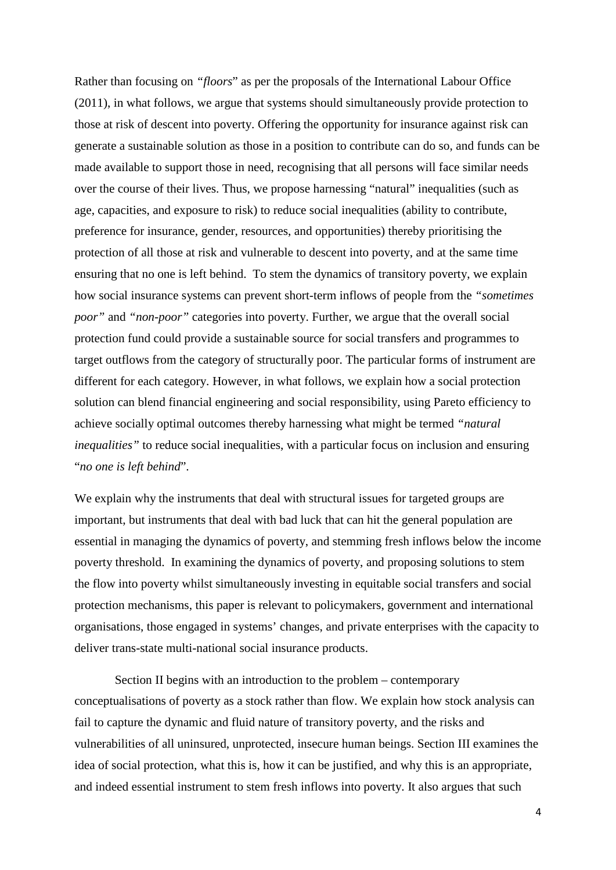Rather than focusing on *"floors*" as per the proposals of the International Labour Office (2011), in what follows, we argue that systems should simultaneously provide protection to those at risk of descent into poverty. Offering the opportunity for insurance against risk can generate a sustainable solution as those in a position to contribute can do so, and funds can be made available to support those in need, recognising that all persons will face similar needs over the course of their lives. Thus, we propose harnessing "natural" inequalities (such as age, capacities, and exposure to risk) to reduce social inequalities (ability to contribute, preference for insurance, gender, resources, and opportunities) thereby prioritising the protection of all those at risk and vulnerable to descent into poverty, and at the same time ensuring that no one is left behind. To stem the dynamics of transitory poverty, we explain how social insurance systems can prevent short-term inflows of people from the *"sometimes poor"* and *"non-poor"* categories into poverty. Further, we argue that the overall social protection fund could provide a sustainable source for social transfers and programmes to target outflows from the category of structurally poor. The particular forms of instrument are different for each category. However, in what follows, we explain how a social protection solution can blend financial engineering and social responsibility, using Pareto efficiency to achieve socially optimal outcomes thereby harnessing what might be termed *"natural inequalities"* to reduce social inequalities, with a particular focus on inclusion and ensuring "*no one is left behind*".

We explain why the instruments that deal with structural issues for targeted groups are important, but instruments that deal with bad luck that can hit the general population are essential in managing the dynamics of poverty, and stemming fresh inflows below the income poverty threshold. In examining the dynamics of poverty, and proposing solutions to stem the flow into poverty whilst simultaneously investing in equitable social transfers and social protection mechanisms, this paper is relevant to policymakers, government and international organisations, those engaged in systems' changes, and private enterprises with the capacity to deliver trans-state multi-national social insurance products.

Section II begins with an introduction to the problem – contemporary conceptualisations of poverty as a stock rather than flow. We explain how stock analysis can fail to capture the dynamic and fluid nature of transitory poverty, and the risks and vulnerabilities of all uninsured, unprotected, insecure human beings. Section III examines the idea of social protection, what this is, how it can be justified, and why this is an appropriate, and indeed essential instrument to stem fresh inflows into poverty. It also argues that such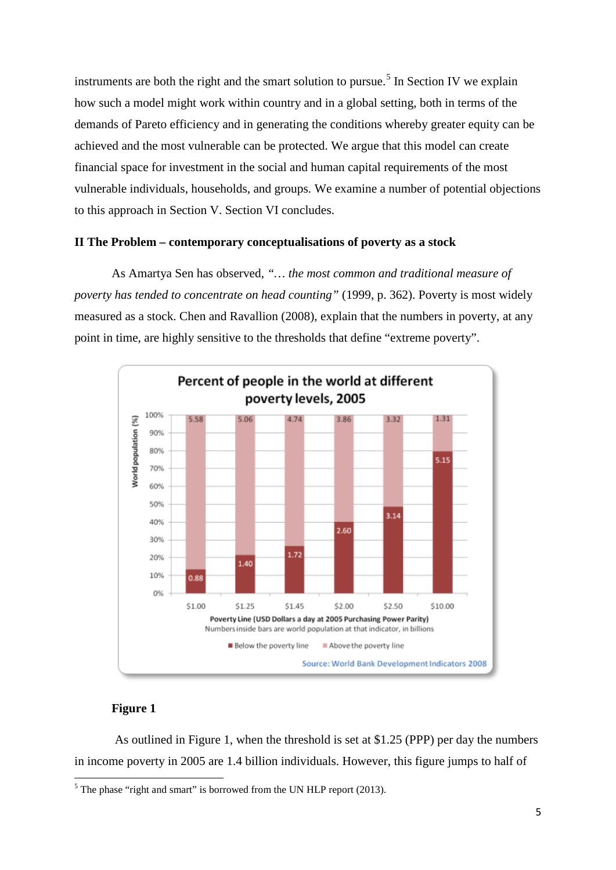instruments are both the right and the smart solution to pursue.<sup>[5](#page-4-1)</sup> In Section IV we explain how such a model might work within country and in a global setting, both in terms of the demands of Pareto efficiency and in generating the conditions whereby greater equity can be achieved and the most vulnerable can be protected. We argue that this model can create financial space for investment in the social and human capital requirements of the most vulnerable individuals, households, and groups. We examine a number of potential objections to this approach in Section V. Section VI concludes.

#### **II The Problem – contemporary conceptualisations of poverty as a stock**

As Amartya Sen has observed, *"… the most common and traditional measure of poverty has tended to concentrate on head counting"* (1999, p. 362). Poverty is most widely measured as a stock. Chen and Ravallion (2008), explain that the numbers in poverty, at any point in time, are highly sensitive to the thresholds that define "extreme poverty".



#### **Figure 1**

As outlined in Figure 1, when the threshold is set at \$1.25 (PPP) per day the numbers in income poverty in 2005 are 1.4 billion individuals. However, this figure jumps to half of

<span id="page-6-0"></span> $5$  The phase "right and smart" is borrowed from the UN HLP report (2013).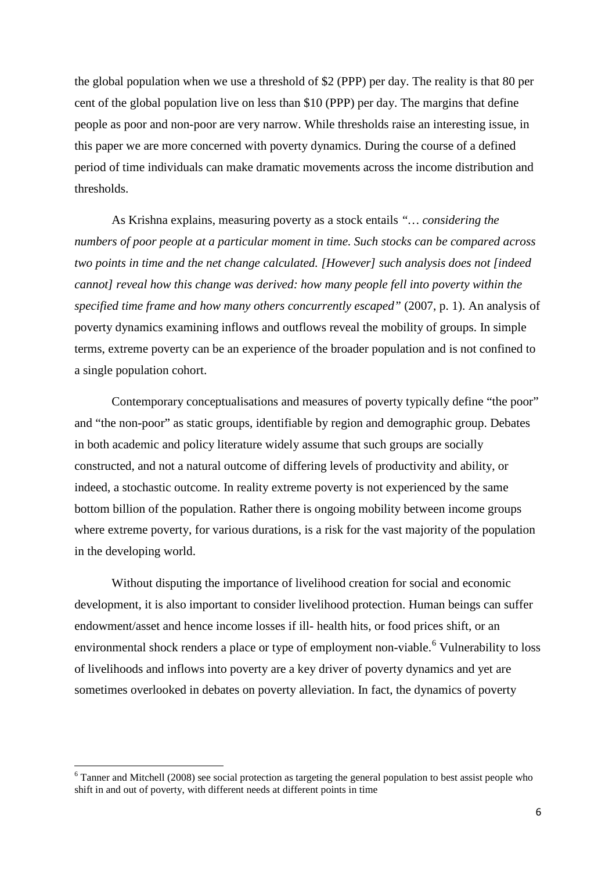the global population when we use a threshold of \$2 (PPP) per day. The reality is that 80 per cent of the global population live on less than \$10 (PPP) per day. The margins that define people as poor and non-poor are very narrow. While thresholds raise an interesting issue, in this paper we are more concerned with poverty dynamics. During the course of a defined period of time individuals can make dramatic movements across the income distribution and thresholds.

As Krishna explains, measuring poverty as a stock entails *"… considering the numbers of poor people at a particular moment in time. Such stocks can be compared across two points in time and the net change calculated. [However] such analysis does not [indeed cannot] reveal how this change was derived: how many people fell into poverty within the specified time frame and how many others concurrently escaped"* (2007, p. 1). An analysis of poverty dynamics examining inflows and outflows reveal the mobility of groups. In simple terms, extreme poverty can be an experience of the broader population and is not confined to a single population cohort.

Contemporary conceptualisations and measures of poverty typically define "the poor" and "the non-poor" as static groups, identifiable by region and demographic group. Debates in both academic and policy literature widely assume that such groups are socially constructed, and not a natural outcome of differing levels of productivity and ability, or indeed, a stochastic outcome. In reality extreme poverty is not experienced by the same bottom billion of the population. Rather there is ongoing mobility between income groups where extreme poverty, for various durations, is a risk for the vast majority of the population in the developing world.

Without disputing the importance of livelihood creation for social and economic development, it is also important to consider livelihood protection. Human beings can suffer endowment/asset and hence income losses if ill- health hits, or food prices shift, or an environmental shock renders a place or type of employment non-viable.<sup>[6](#page-6-0)</sup> Vulnerability to loss of livelihoods and inflows into poverty are a key driver of poverty dynamics and yet are sometimes overlooked in debates on poverty alleviation. In fact, the dynamics of poverty

<span id="page-7-0"></span> $6$  Tanner and Mitchell (2008) see social protection as targeting the general population to best assist people who shift in and out of poverty, with different needs at different points in time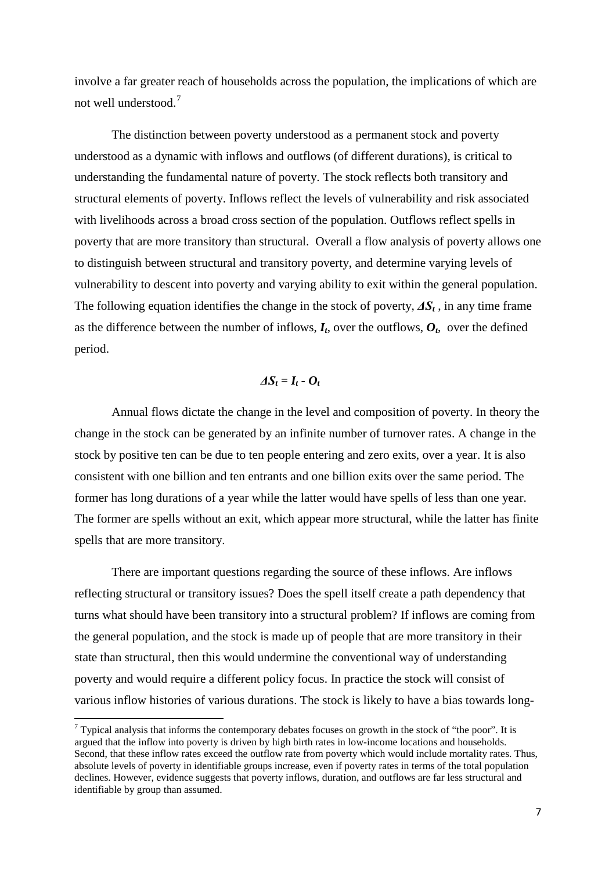involve a far greater reach of households across the population, the implications of which are not well understood.[7](#page-7-0)

The distinction between poverty understood as a permanent stock and poverty understood as a dynamic with inflows and outflows (of different durations), is critical to understanding the fundamental nature of poverty. The stock reflects both transitory and structural elements of poverty. Inflows reflect the levels of vulnerability and risk associated with livelihoods across a broad cross section of the population. Outflows reflect spells in poverty that are more transitory than structural. Overall a flow analysis of poverty allows one to distinguish between structural and transitory poverty, and determine varying levels of vulnerability to descent into poverty and varying ability to exit within the general population. The following equation identifies the change in the stock of poverty,  $\Delta S_t$ , in any time frame as the difference between the number of inflows,  $I_t$ , over the outflows,  $O_t$ , over the defined period.

### $\Delta S_t = I_t - O_t$

Annual flows dictate the change in the level and composition of poverty. In theory the change in the stock can be generated by an infinite number of turnover rates. A change in the stock by positive ten can be due to ten people entering and zero exits, over a year. It is also consistent with one billion and ten entrants and one billion exits over the same period. The former has long durations of a year while the latter would have spells of less than one year. The former are spells without an exit, which appear more structural, while the latter has finite spells that are more transitory.

There are important questions regarding the source of these inflows. Are inflows reflecting structural or transitory issues? Does the spell itself create a path dependency that turns what should have been transitory into a structural problem? If inflows are coming from the general population, and the stock is made up of people that are more transitory in their state than structural, then this would undermine the conventional way of understanding poverty and would require a different policy focus. In practice the stock will consist of various inflow histories of various durations. The stock is likely to have a bias towards long-

<span id="page-8-0"></span> $7$  Typical analysis that informs the contemporary debates focuses on growth in the stock of "the poor". It is argued that the inflow into poverty is driven by high birth rates in low-income locations and households. Second, that these inflow rates exceed the outflow rate from poverty which would include mortality rates. Thus, absolute levels of poverty in identifiable groups increase, even if poverty rates in terms of the total population declines. However, evidence suggests that poverty inflows, duration, and outflows are far less structural and identifiable by group than assumed.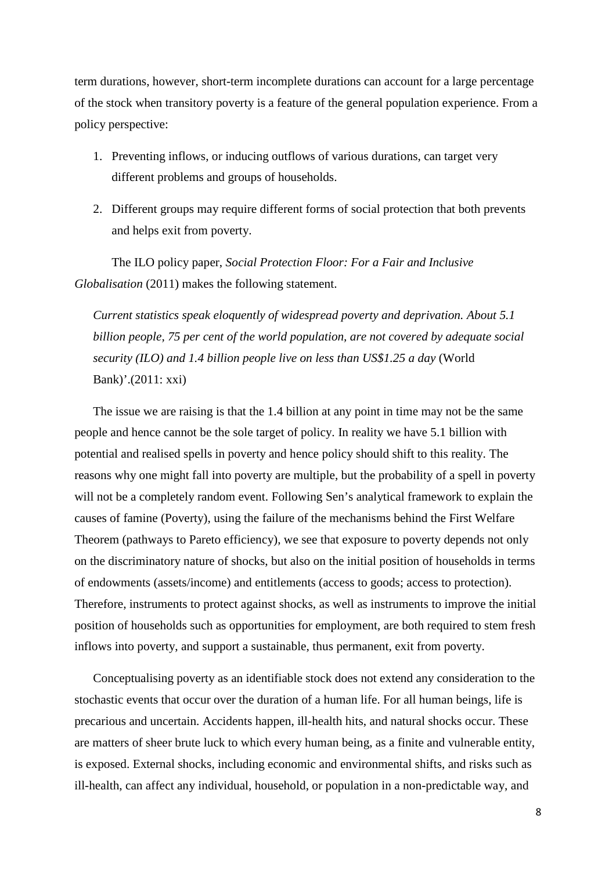term durations, however, short-term incomplete durations can account for a large percentage of the stock when transitory poverty is a feature of the general population experience. From a policy perspective:

- 1. Preventing inflows, or inducing outflows of various durations, can target very different problems and groups of households.
- 2. Different groups may require different forms of social protection that both prevents and helps exit from poverty.

The ILO policy paper, *Social Protection Floor: For a Fair and Inclusive Globalisation* (2011) makes the following statement.

*Current statistics speak eloquently of widespread poverty and deprivation. About 5.1 billion people, 75 per cent of the world population, are not covered by adequate social security (ILO) and 1.4 billion people live on less than US\$1.25 a day* (World Bank)'.(2011: xxi)

The issue we are raising is that the 1.4 billion at any point in time may not be the same people and hence cannot be the sole target of policy. In reality we have 5.1 billion with potential and realised spells in poverty and hence policy should shift to this reality. The reasons why one might fall into poverty are multiple, but the probability of a spell in poverty will not be a completely random event. Following Sen's analytical framework to explain the causes of famine (Poverty), using the failure of the mechanisms behind the First Welfare Theorem (pathways to Pareto efficiency), we see that exposure to poverty depends not only on the discriminatory nature of shocks, but also on the initial position of households in terms of endowments (assets/income) and entitlements (access to goods; access to protection). Therefore, instruments to protect against shocks, as well as instruments to improve the initial position of households such as opportunities for employment, are both required to stem fresh inflows into poverty, and support a sustainable, thus permanent, exit from poverty.

Conceptualising poverty as an identifiable stock does not extend any consideration to the stochastic events that occur over the duration of a human life. For all human beings, life is precarious and uncertain. Accidents happen, ill-health hits, and natural shocks occur. These are matters of sheer brute luck to which every human being, as a finite and vulnerable entity, is exposed. External shocks, including economic and environmental shifts, and risks such as ill-health, can affect any individual, household, or population in a non-predictable way, and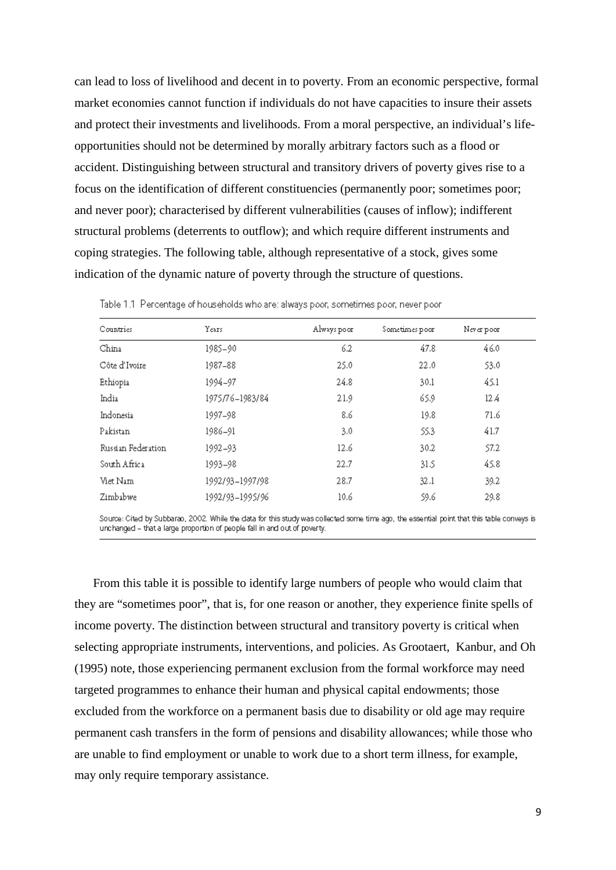can lead to loss of livelihood and decent in to poverty. From an economic perspective, formal market economies cannot function if individuals do not have capacities to insure their assets and protect their investments and livelihoods. From a moral perspective, an individual's lifeopportunities should not be determined by morally arbitrary factors such as a flood or accident. Distinguishing between structural and transitory drivers of poverty gives rise to a focus on the identification of different constituencies (permanently poor; sometimes poor; and never poor); characterised by different vulnerabilities (causes of inflow); indifferent structural problems (deterrents to outflow); and which require different instruments and coping strategies. The following table, although representative of a stock, gives some indication of the dynamic nature of poverty through the structure of questions.

| Countries          | Years.          | Always poor | Sometimes poor | Never poor |
|--------------------|-----------------|-------------|----------------|------------|
| China              | 1985-90         | 6.2         | 47.8           | 46.0       |
| Côte d'Ivoire      | 1987-88         | 25.0        | 22.0           | 53.0       |
| Ethiopia           | 1994-97         | 24.8        | 30.1           | 45.1       |
| India              | 1975/76-1983/84 | 21.9        | 65.9           | 12 A       |
| Indonesia          | 1997–98         | 8.6         | 19.8           | 71.6       |
| Pakistan           | 1986-91         | 3.0         | 55.3           | 41.7       |
| Russian Federation | 1992-93         | 12.6        | 30.2           | 57.2       |
| South Africa       | 1993–98         | 22.7        | 31.5           | 45.8       |
| Viet Nam           | 1992/93-1997/98 | 28.7        | 32.1           | 39.2       |
| Zimbabwe           | 1992/93-1995/96 | 10.6        | 59.6           | 29.8       |

Table 1.1 Percentage of households who are: always poor, sometimes poor, never poor

Source: Cited by Subbarao, 2002. While the data for this study was collected some time ago, the essential point that this table conveys is unchanged - that a large proportion of people fall in and out of poverty.

From this table it is possible to identify large numbers of people who would claim that they are "sometimes poor", that is, for one reason or another, they experience finite spells of income poverty. The distinction between structural and transitory poverty is critical when selecting appropriate instruments, interventions, and policies. As Grootaert, Kanbur, and Oh (1995) note, those experiencing permanent exclusion from the formal workforce may need targeted programmes to enhance their human and physical capital endowments; those excluded from the workforce on a permanent basis due to disability or old age may require permanent cash transfers in the form of pensions and disability allowances; while those who are unable to find employment or unable to work due to a short term illness, for example, may only require temporary assistance.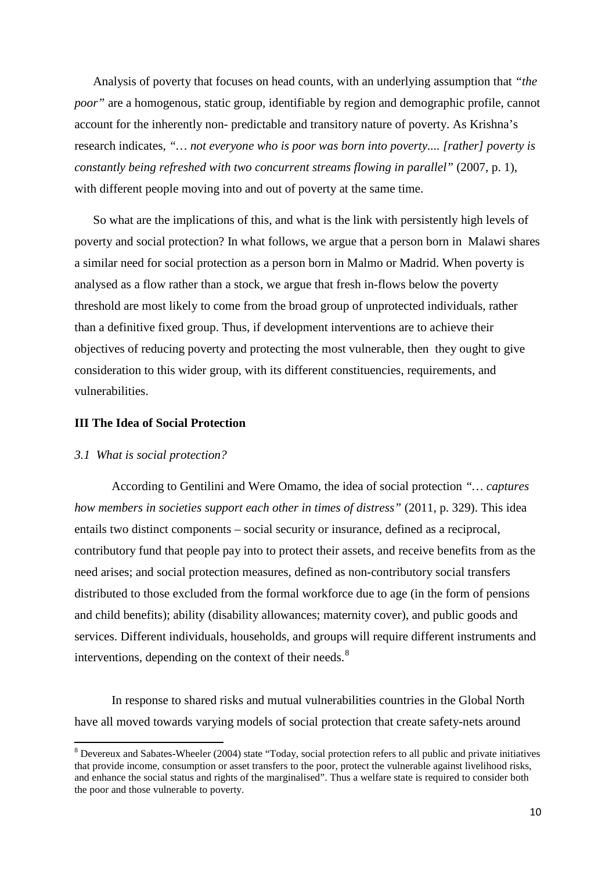Analysis of poverty that focuses on head counts, with an underlying assumption that *"the poor*" are a homogenous, static group, identifiable by region and demographic profile, cannot account for the inherently non- predictable and transitory nature of poverty. As Krishna's research indicates, *"… not everyone who is poor was born into poverty.... [rather] poverty is constantly being refreshed with two concurrent streams flowing in parallel"* (2007, p. 1), with different people moving into and out of poverty at the same time.

So what are the implications of this, and what is the link with persistently high levels of poverty and social protection? In what follows, we argue that a person born in Malawi shares a similar need for social protection as a person born in Malmo or Madrid. When poverty is analysed as a flow rather than a stock, we argue that fresh in-flows below the poverty threshold are most likely to come from the broad group of unprotected individuals, rather than a definitive fixed group. Thus, if development interventions are to achieve their objectives of reducing poverty and protecting the most vulnerable, then they ought to give consideration to this wider group, with its different constituencies, requirements, and vulnerabilities.

#### **III The Idea of Social Protection**

#### *3.1 What is social protection?*

According to Gentilini and Were Omamo, the idea of social protection *"… captures how members in societies support each other in times of distress"* (2011, p. 329). This idea entails two distinct components – social security or insurance, defined as a reciprocal, contributory fund that people pay into to protect their assets, and receive benefits from as the need arises; and social protection measures, defined as non-contributory social transfers distributed to those excluded from the formal workforce due to age (in the form of pensions and child benefits); ability (disability allowances; maternity cover), and public goods and services. Different individuals, households, and groups will require different instruments and interventions, depending on the context of their needs.<sup>[8](#page-8-0)</sup>

In response to shared risks and mutual vulnerabilities countries in the Global North have all moved towards varying models of social protection that create safety-nets around

<span id="page-11-0"></span><sup>8</sup> Devereux and Sabates-Wheeler (2004) state "Today, social protection refers to all public and private initiatives that provide income, consumption or asset transfers to the poor, protect the vulnerable against livelihood risks, and enhance the social status and rights of the marginalised". Thus a welfare state is required to consider both the poor and those vulnerable to poverty.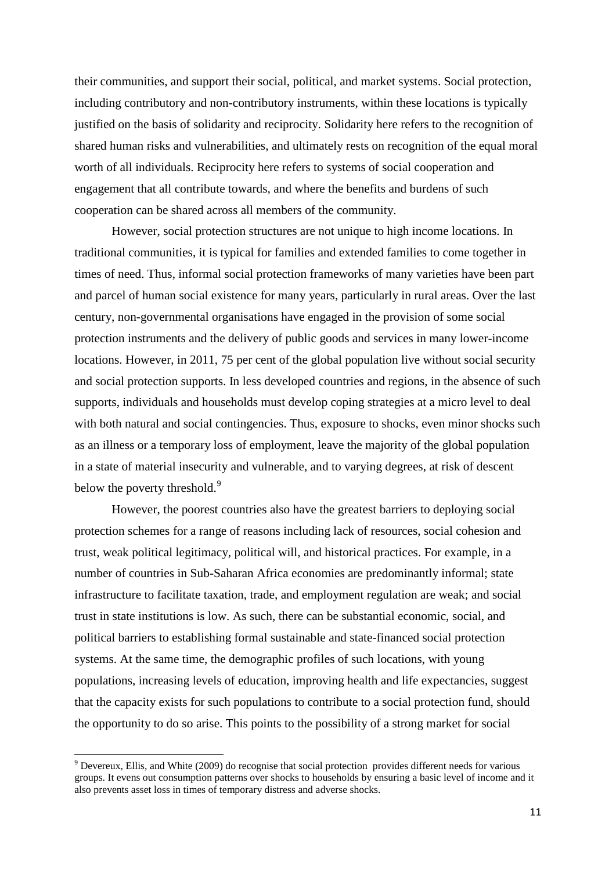their communities, and support their social, political, and market systems. Social protection, including contributory and non-contributory instruments, within these locations is typically justified on the basis of solidarity and reciprocity. Solidarity here refers to the recognition of shared human risks and vulnerabilities, and ultimately rests on recognition of the equal moral worth of all individuals. Reciprocity here refers to systems of social cooperation and engagement that all contribute towards, and where the benefits and burdens of such cooperation can be shared across all members of the community.

However, social protection structures are not unique to high income locations. In traditional communities, it is typical for families and extended families to come together in times of need. Thus, informal social protection frameworks of many varieties have been part and parcel of human social existence for many years, particularly in rural areas. Over the last century, non-governmental organisations have engaged in the provision of some social protection instruments and the delivery of public goods and services in many lower-income locations. However, in 2011, 75 per cent of the global population live without social security and social protection supports. In less developed countries and regions, in the absence of such supports, individuals and households must develop coping strategies at a micro level to deal with both natural and social contingencies. Thus, exposure to shocks, even minor shocks such as an illness or a temporary loss of employment, leave the majority of the global population in a state of material insecurity and vulnerable, and to varying degrees, at risk of descent below the poverty threshold.<sup>[9](#page-11-0)</sup>

However, the poorest countries also have the greatest barriers to deploying social protection schemes for a range of reasons including lack of resources, social cohesion and trust, weak political legitimacy, political will, and historical practices. For example, in a number of countries in Sub-Saharan Africa economies are predominantly informal; state infrastructure to facilitate taxation, trade, and employment regulation are weak; and social trust in state institutions is low. As such, there can be substantial economic, social, and political barriers to establishing formal sustainable and state-financed social protection systems. At the same time, the demographic profiles of such locations, with young populations, increasing levels of education, improving health and life expectancies, suggest that the capacity exists for such populations to contribute to a social protection fund, should the opportunity to do so arise. This points to the possibility of a strong market for social

<span id="page-12-0"></span><sup>9</sup> Devereux, Ellis, and White (2009) do recognise that social protection provides different needs for various groups. It evens out consumption patterns over shocks to households by ensuring a basic level of income and it also prevents asset loss in times of temporary distress and adverse shocks.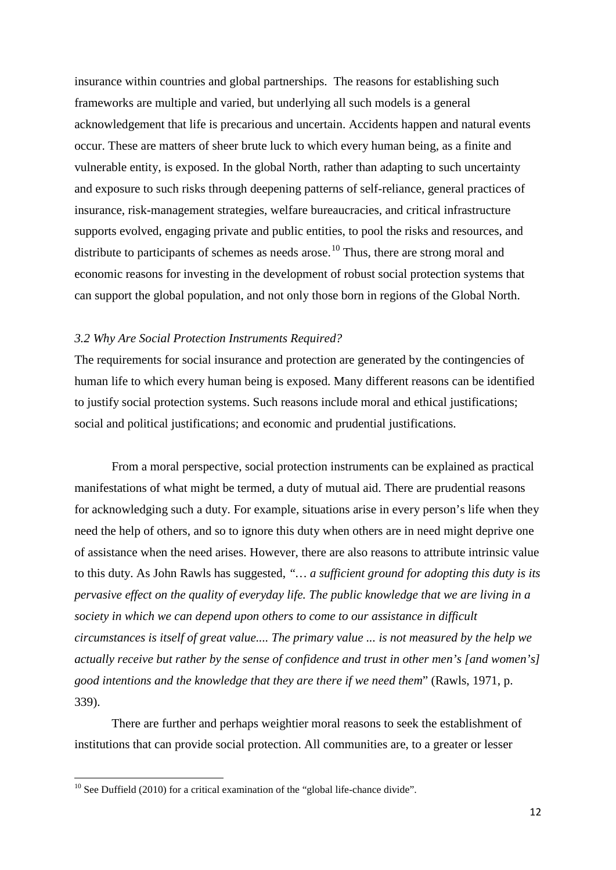insurance within countries and global partnerships. The reasons for establishing such frameworks are multiple and varied, but underlying all such models is a general acknowledgement that life is precarious and uncertain. Accidents happen and natural events occur. These are matters of sheer brute luck to which every human being, as a finite and vulnerable entity, is exposed. In the global North, rather than adapting to such uncertainty and exposure to such risks through deepening patterns of self-reliance, general practices of insurance, risk-management strategies, welfare bureaucracies, and critical infrastructure supports evolved, engaging private and public entities, to pool the risks and resources, and distribute to participants of schemes as needs arose.<sup>[10](#page-12-0)</sup> Thus, there are strong moral and economic reasons for investing in the development of robust social protection systems that can support the global population, and not only those born in regions of the Global North.

#### *3.2 Why Are Social Protection Instruments Required?*

The requirements for social insurance and protection are generated by the contingencies of human life to which every human being is exposed. Many different reasons can be identified to justify social protection systems. Such reasons include moral and ethical justifications; social and political justifications; and economic and prudential justifications.

From a moral perspective, social protection instruments can be explained as practical manifestations of what might be termed, a duty of mutual aid. There are prudential reasons for acknowledging such a duty. For example, situations arise in every person's life when they need the help of others, and so to ignore this duty when others are in need might deprive one of assistance when the need arises. However, there are also reasons to attribute intrinsic value to this duty. As John Rawls has suggested, *"… a sufficient ground for adopting this duty is its pervasive effect on the quality of everyday life. The public knowledge that we are living in a society in which we can depend upon others to come to our assistance in difficult circumstances is itself of great value.... The primary value ... is not measured by the help we actually receive but rather by the sense of confidence and trust in other men's [and women's] good intentions and the knowledge that they are there if we need them*" (Rawls, 1971, p. 339).

There are further and perhaps weightier moral reasons to seek the establishment of institutions that can provide social protection. All communities are, to a greater or lesser

<span id="page-13-0"></span> $10$  See Duffield (2010) for a critical examination of the "global life-chance divide".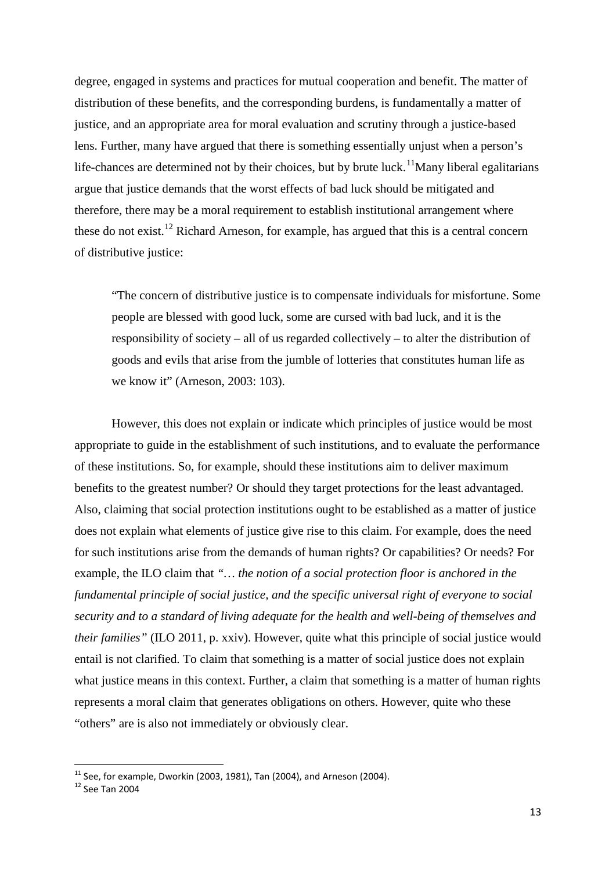degree, engaged in systems and practices for mutual cooperation and benefit. The matter of distribution of these benefits, and the corresponding burdens, is fundamentally a matter of justice, and an appropriate area for moral evaluation and scrutiny through a justice-based lens. Further, many have argued that there is something essentially unjust when a person's life-chances are determined not by their choices, but by brute luck.<sup>[11](#page-13-0)</sup>Many liberal egalitarians argue that justice demands that the worst effects of bad luck should be mitigated and therefore, there may be a moral requirement to establish institutional arrangement where these do not exist.<sup>[12](#page-14-0)</sup> Richard Arneson, for example, has argued that this is a central concern of distributive justice:

"The concern of distributive justice is to compensate individuals for misfortune. Some people are blessed with good luck, some are cursed with bad luck, and it is the responsibility of society – all of us regarded collectively – to alter the distribution of goods and evils that arise from the jumble of lotteries that constitutes human life as we know it" (Arneson, 2003: 103).

However, this does not explain or indicate which principles of justice would be most appropriate to guide in the establishment of such institutions, and to evaluate the performance of these institutions. So, for example, should these institutions aim to deliver maximum benefits to the greatest number? Or should they target protections for the least advantaged. Also, claiming that social protection institutions ought to be established as a matter of justice does not explain what elements of justice give rise to this claim. For example, does the need for such institutions arise from the demands of human rights? Or capabilities? Or needs? For example, the ILO claim that *"… the notion of a social protection floor is anchored in the fundamental principle of social justice, and the specific universal right of everyone to social security and to a standard of living adequate for the health and well-being of themselves and their families"* (ILO 2011, p. xxiv). However, quite what this principle of social justice would entail is not clarified. To claim that something is a matter of social justice does not explain what justice means in this context. Further, a claim that something is a matter of human rights represents a moral claim that generates obligations on others. However, quite who these "others" are is also not immediately or obviously clear.

<span id="page-14-1"></span><span id="page-14-0"></span><sup>&</sup>lt;sup>11</sup> See, for example, Dworkin (2003, 1981), Tan (2004), and Arneson (2004).<br><sup>12</sup> See Tan 2004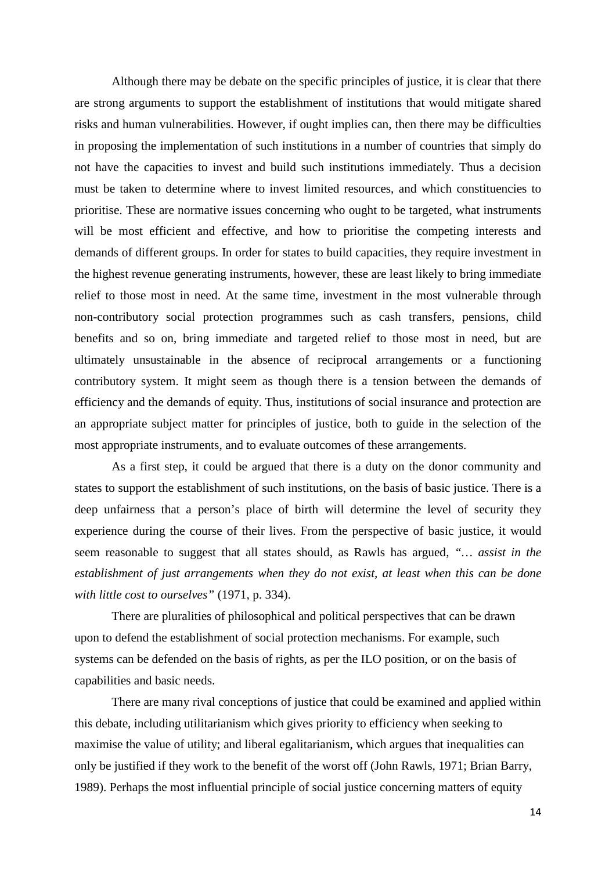Although there may be debate on the specific principles of justice, it is clear that there are strong arguments to support the establishment of institutions that would mitigate shared risks and human vulnerabilities. However, if ought implies can, then there may be difficulties in proposing the implementation of such institutions in a number of countries that simply do not have the capacities to invest and build such institutions immediately. Thus a decision must be taken to determine where to invest limited resources, and which constituencies to prioritise. These are normative issues concerning who ought to be targeted, what instruments will be most efficient and effective, and how to prioritise the competing interests and demands of different groups. In order for states to build capacities, they require investment in the highest revenue generating instruments, however, these are least likely to bring immediate relief to those most in need. At the same time, investment in the most vulnerable through non-contributory social protection programmes such as cash transfers, pensions, child benefits and so on, bring immediate and targeted relief to those most in need, but are ultimately unsustainable in the absence of reciprocal arrangements or a functioning contributory system. It might seem as though there is a tension between the demands of efficiency and the demands of equity. Thus, institutions of social insurance and protection are an appropriate subject matter for principles of justice, both to guide in the selection of the most appropriate instruments, and to evaluate outcomes of these arrangements.

As a first step, it could be argued that there is a duty on the donor community and states to support the establishment of such institutions, on the basis of basic justice. There is a deep unfairness that a person's place of birth will determine the level of security they experience during the course of their lives. From the perspective of basic justice, it would seem reasonable to suggest that all states should, as Rawls has argued, *"… assist in the establishment of just arrangements when they do not exist, at least when this can be done with little cost to ourselves"* (1971, p. 334).

There are pluralities of philosophical and political perspectives that can be drawn upon to defend the establishment of social protection mechanisms. For example, such systems can be defended on the basis of rights, as per the ILO position, or on the basis of capabilities and basic needs.

There are many rival conceptions of justice that could be examined and applied within this debate, including utilitarianism which gives priority to efficiency when seeking to maximise the value of utility; and liberal egalitarianism, which argues that inequalities can only be justified if they work to the benefit of the worst off (John Rawls, 1971; Brian Barry, 1989). Perhaps the most influential principle of social justice concerning matters of equity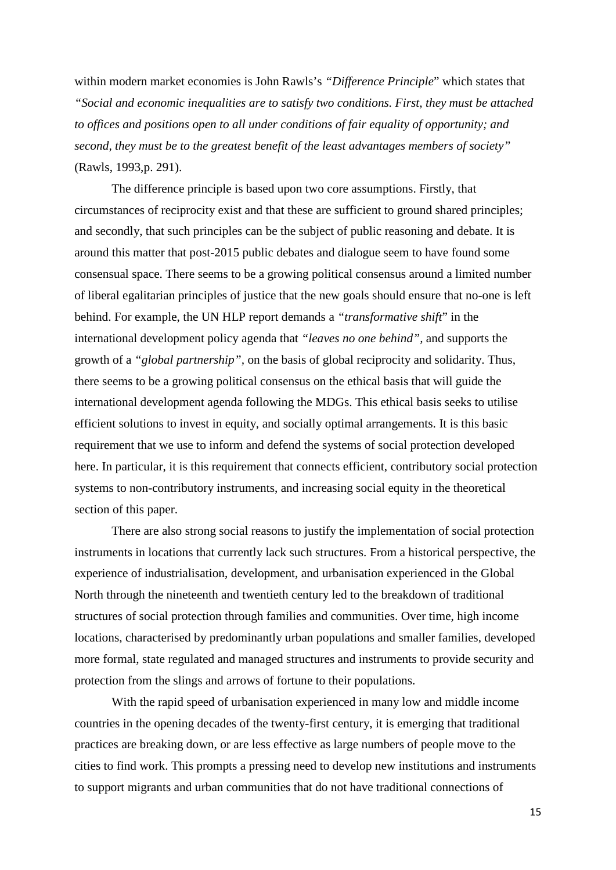within modern market economies is John Rawls's *"Difference Principle*" which states that *"Social and economic inequalities are to satisfy two conditions. First, they must be attached to offices and positions open to all under conditions of fair equality of opportunity; and second, they must be to the greatest benefit of the least advantages members of society"* (Rawls, 1993,p. 291).

The difference principle is based upon two core assumptions. Firstly, that circumstances of reciprocity exist and that these are sufficient to ground shared principles; and secondly, that such principles can be the subject of public reasoning and debate. It is around this matter that post-2015 public debates and dialogue seem to have found some consensual space. There seems to be a growing political consensus around a limited number of liberal egalitarian principles of justice that the new goals should ensure that no-one is left behind. For example, the UN HLP report demands a *"transformative shift*" in the international development policy agenda that *"leaves no one behind",* and supports the growth of a *"global partnership",* on the basis of global reciprocity and solidarity. Thus, there seems to be a growing political consensus on the ethical basis that will guide the international development agenda following the MDGs. This ethical basis seeks to utilise efficient solutions to invest in equity, and socially optimal arrangements. It is this basic requirement that we use to inform and defend the systems of social protection developed here. In particular, it is this requirement that connects efficient, contributory social protection systems to non-contributory instruments, and increasing social equity in the theoretical section of this paper.

There are also strong social reasons to justify the implementation of social protection instruments in locations that currently lack such structures. From a historical perspective, the experience of industrialisation, development, and urbanisation experienced in the Global North through the nineteenth and twentieth century led to the breakdown of traditional structures of social protection through families and communities. Over time, high income locations, characterised by predominantly urban populations and smaller families, developed more formal, state regulated and managed structures and instruments to provide security and protection from the slings and arrows of fortune to their populations.

With the rapid speed of urbanisation experienced in many low and middle income countries in the opening decades of the twenty-first century, it is emerging that traditional practices are breaking down, or are less effective as large numbers of people move to the cities to find work. This prompts a pressing need to develop new institutions and instruments to support migrants and urban communities that do not have traditional connections of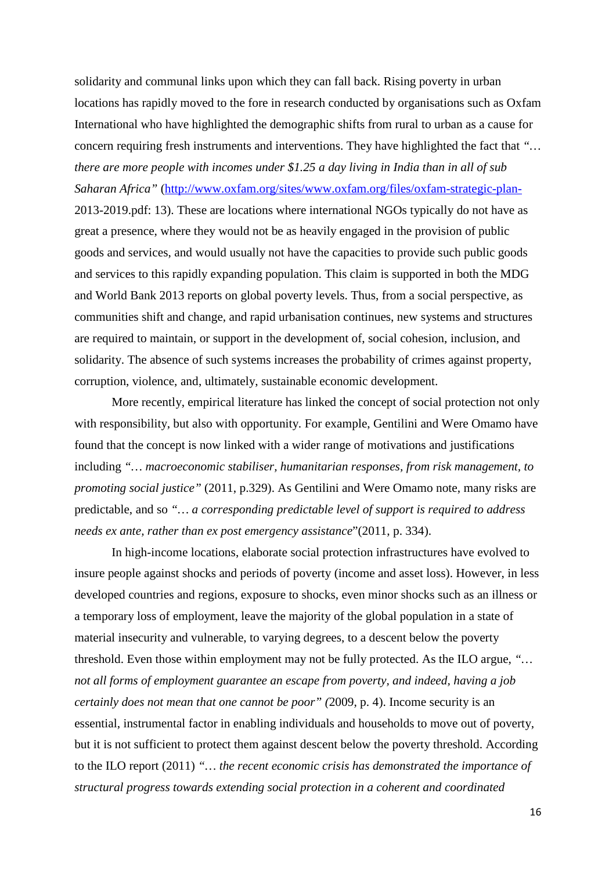solidarity and communal links upon which they can fall back. Rising poverty in urban locations has rapidly moved to the fore in research conducted by organisations such as Oxfam International who have highlighted the demographic shifts from rural to urban as a cause for concern requiring fresh instruments and interventions. They have highlighted the fact that *"… there are more people with incomes under \$1.25 a day living in India than in all of sub Saharan Africa"* [\(http://www.oxfam.org/sites/www.oxfam.org/files/oxfam-strategic-plan-](http://www.oxfam.org/sites/www.oxfam.org/files/oxfam-strategic-plan-)2013-2019.pdf: 13). These are locations where international NGOs typically do not have as great a presence, where they would not be as heavily engaged in the provision of public goods and services, and would usually not have the capacities to provide such public goods and services to this rapidly expanding population. This claim is supported in both the MDG and World Bank 2013 reports on global poverty levels. Thus, from a social perspective, as communities shift and change, and rapid urbanisation continues, new systems and structures are required to maintain, or support in the development of, social cohesion, inclusion, and solidarity. The absence of such systems increases the probability of crimes against property, corruption, violence, and, ultimately, sustainable economic development.

More recently, empirical literature has linked the concept of social protection not only with responsibility, but also with opportunity. For example, Gentilini and Were Omamo have found that the concept is now linked with a wider range of motivations and justifications including *"… macroeconomic stabiliser, humanitarian responses, from risk management, to promoting social justice"* (2011, p.329). As Gentilini and Were Omamo note, many risks are predictable, and so *"… a corresponding predictable level of support is required to address needs ex ante, rather than ex post emergency assistance*"(2011, p. 334).

In high-income locations, elaborate social protection infrastructures have evolved to insure people against shocks and periods of poverty (income and asset loss). However, in less developed countries and regions, exposure to shocks, even minor shocks such as an illness or a temporary loss of employment, leave the majority of the global population in a state of material insecurity and vulnerable, to varying degrees, to a descent below the poverty threshold. Even those within employment may not be fully protected. As the ILO argue, *"… not all forms of employment guarantee an escape from poverty, and indeed, having a job certainly does not mean that one cannot be poor" (*2009, p. 4). Income security is an essential, instrumental factor in enabling individuals and households to move out of poverty, but it is not sufficient to protect them against descent below the poverty threshold. According to the ILO report (2011) *"… the recent economic crisis has demonstrated the importance of structural progress towards extending social protection in a coherent and coordinated*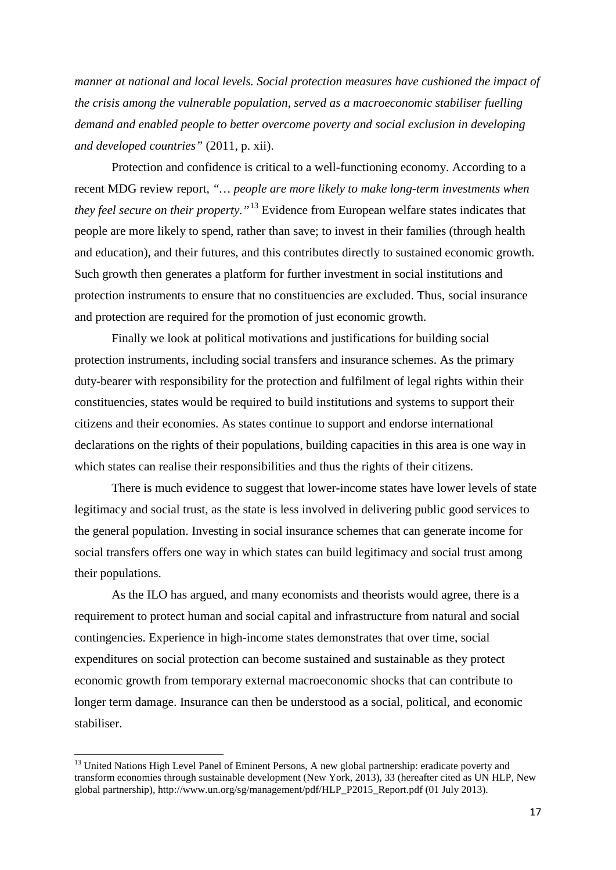*manner at national and local levels. Social protection measures have cushioned the impact of the crisis among the vulnerable population, served as a macroeconomic stabiliser fuelling demand and enabled people to better overcome poverty and social exclusion in developing and developed countries"* (2011, p. xii).

Protection and confidence is critical to a well-functioning economy. According to a recent MDG review report, *"… people are more likely to make long-term investments when they feel secure on their property."*[13](#page-14-1) Evidence from European welfare states indicates that people are more likely to spend, rather than save; to invest in their families (through health and education), and their futures, and this contributes directly to sustained economic growth. Such growth then generates a platform for further investment in social institutions and protection instruments to ensure that no constituencies are excluded. Thus, social insurance and protection are required for the promotion of just economic growth.

Finally we look at political motivations and justifications for building social protection instruments, including social transfers and insurance schemes. As the primary duty-bearer with responsibility for the protection and fulfilment of legal rights within their constituencies, states would be required to build institutions and systems to support their citizens and their economies. As states continue to support and endorse international declarations on the rights of their populations, building capacities in this area is one way in which states can realise their responsibilities and thus the rights of their citizens.

There is much evidence to suggest that lower-income states have lower levels of state legitimacy and social trust, as the state is less involved in delivering public good services to the general population. Investing in social insurance schemes that can generate income for social transfers offers one way in which states can build legitimacy and social trust among their populations.

As the ILO has argued, and many economists and theorists would agree, there is a requirement to protect human and social capital and infrastructure from natural and social contingencies. Experience in high-income states demonstrates that over time, social expenditures on social protection can become sustained and sustainable as they protect economic growth from temporary external macroeconomic shocks that can contribute to longer term damage. Insurance can then be understood as a social, political, and economic stabiliser.

<span id="page-18-0"></span><sup>&</sup>lt;sup>13</sup> United Nations High Level Panel of Eminent Persons, A new global partnership: eradicate poverty and transform economies through sustainable development (New York, 2013), 33 (hereafter cited as UN HLP, New global partnership), http://www.un.org/sg/management/pdf/HLP\_P2015\_Report.pdf (01 July 2013).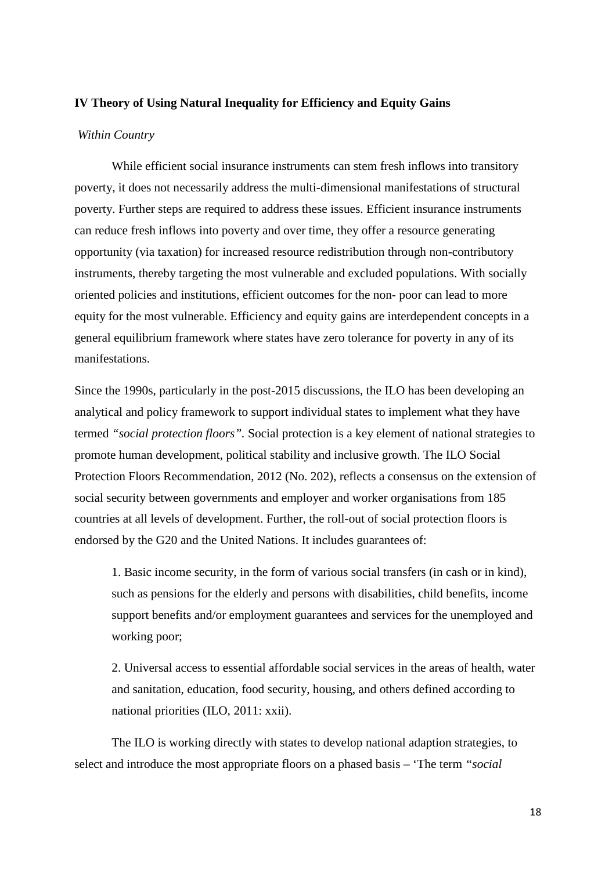#### **IV Theory of Using Natural Inequality for Efficiency and Equity Gains**

#### *Within Country*

While efficient social insurance instruments can stem fresh inflows into transitory poverty, it does not necessarily address the multi-dimensional manifestations of structural poverty. Further steps are required to address these issues. Efficient insurance instruments can reduce fresh inflows into poverty and over time, they offer a resource generating opportunity (via taxation) for increased resource redistribution through non-contributory instruments, thereby targeting the most vulnerable and excluded populations. With socially oriented policies and institutions, efficient outcomes for the non- poor can lead to more equity for the most vulnerable. Efficiency and equity gains are interdependent concepts in a general equilibrium framework where states have zero tolerance for poverty in any of its manifestations.

Since the 1990s, particularly in the post-2015 discussions, the ILO has been developing an analytical and policy framework to support individual states to implement what they have termed *"social protection floors".* Social protection is a key element of national strategies to promote human development, political stability and inclusive growth. The ILO Social Protection Floors Recommendation, 2012 (No. 202), reflects a consensus on the extension of social security between governments and employer and worker organisations from 185 countries at all levels of development. Further, the roll-out of social protection floors is endorsed by the G20 and the United Nations. It includes guarantees of:

1. Basic income security, in the form of various social transfers (in cash or in kind), such as pensions for the elderly and persons with disabilities, child benefits, income support benefits and/or employment guarantees and services for the unemployed and working poor;

2. Universal access to essential affordable social services in the areas of health, water and sanitation, education, food security, housing, and others defined according to national priorities (ILO, 2011: xxii).

The ILO is working directly with states to develop national adaption strategies, to select and introduce the most appropriate floors on a phased basis – 'The term *"social*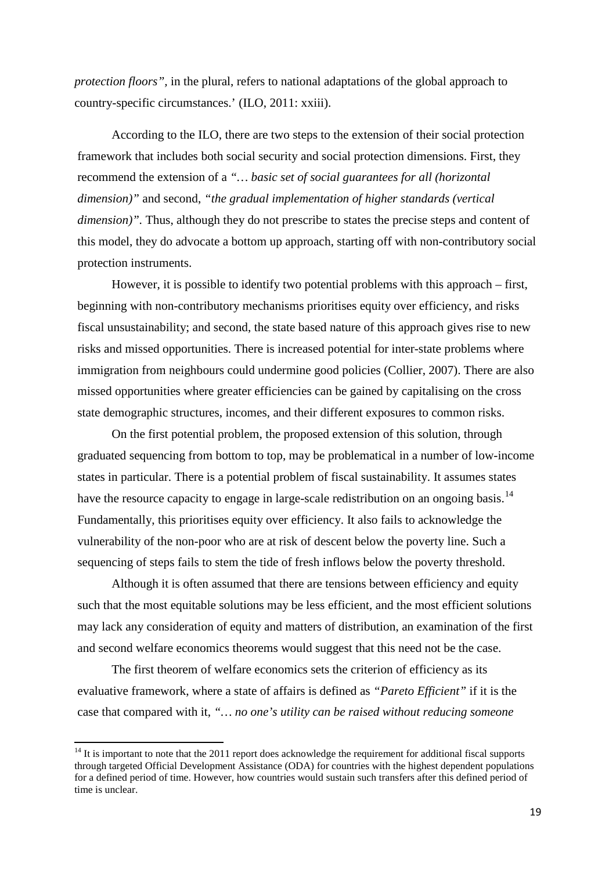*protection floors",* in the plural, refers to national adaptations of the global approach to country-specific circumstances.' (ILO, 2011: xxiii).

According to the ILO, there are two steps to the extension of their social protection framework that includes both social security and social protection dimensions. First, they recommend the extension of a *"… basic set of social guarantees for all (horizontal dimension)"* and second, *"the gradual implementation of higher standards (vertical dimension)"*. Thus, although they do not prescribe to states the precise steps and content of this model, they do advocate a bottom up approach, starting off with non-contributory social protection instruments.

However, it is possible to identify two potential problems with this approach – first, beginning with non-contributory mechanisms prioritises equity over efficiency, and risks fiscal unsustainability; and second, the state based nature of this approach gives rise to new risks and missed opportunities. There is increased potential for inter-state problems where immigration from neighbours could undermine good policies (Collier, 2007). There are also missed opportunities where greater efficiencies can be gained by capitalising on the cross state demographic structures, incomes, and their different exposures to common risks.

On the first potential problem, the proposed extension of this solution, through graduated sequencing from bottom to top, may be problematical in a number of low-income states in particular. There is a potential problem of fiscal sustainability. It assumes states have the resource capacity to engage in large-scale redistribution on an ongoing basis.<sup>[14](#page-18-0)</sup> Fundamentally, this prioritises equity over efficiency. It also fails to acknowledge the vulnerability of the non-poor who are at risk of descent below the poverty line. Such a sequencing of steps fails to stem the tide of fresh inflows below the poverty threshold.

Although it is often assumed that there are tensions between efficiency and equity such that the most equitable solutions may be less efficient, and the most efficient solutions may lack any consideration of equity and matters of distribution, an examination of the first and second welfare economics theorems would suggest that this need not be the case.

The first theorem of welfare economics sets the criterion of efficiency as its evaluative framework, where a state of affairs is defined as *"Pareto Efficient"* if it is the case that compared with it, *"… no one's utility can be raised without reducing someone* 

<sup>&</sup>lt;sup>14</sup> It is important to note that the 2011 report does acknowledge the requirement for additional fiscal supports through targeted Official Development Assistance (ODA) for countries with the highest dependent populations for a defined period of time. However, how countries would sustain such transfers after this defined period of time is unclear.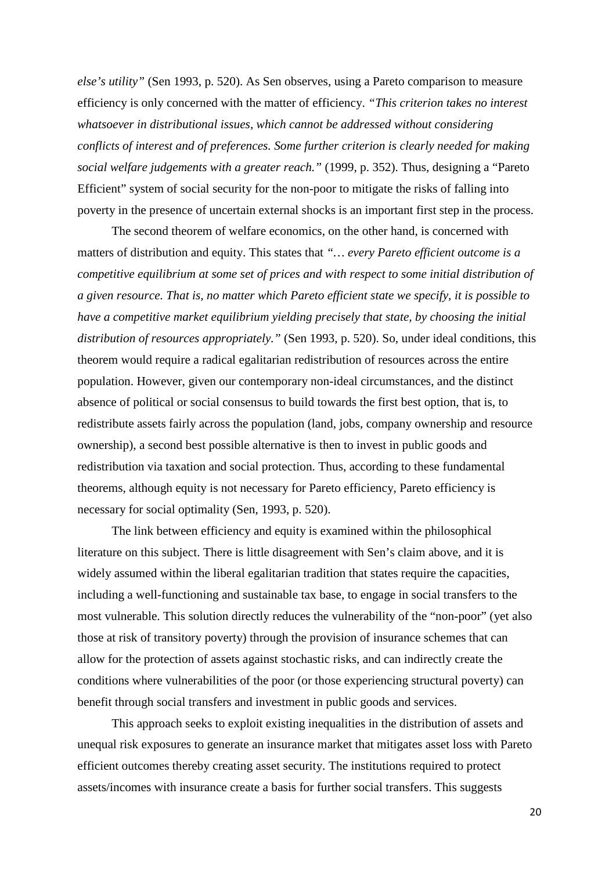*else's utility"* (Sen 1993, p. 520). As Sen observes, using a Pareto comparison to measure efficiency is only concerned with the matter of efficiency. *"This criterion takes no interest whatsoever in distributional issues, which cannot be addressed without considering conflicts of interest and of preferences. Some further criterion is clearly needed for making social welfare judgements with a greater reach."* (1999, p. 352). Thus, designing a "Pareto Efficient" system of social security for the non-poor to mitigate the risks of falling into poverty in the presence of uncertain external shocks is an important first step in the process.

The second theorem of welfare economics, on the other hand, is concerned with matters of distribution and equity. This states that *"… every Pareto efficient outcome is a competitive equilibrium at some set of prices and with respect to some initial distribution of a given resource. That is, no matter which Pareto efficient state we specify, it is possible to have a competitive market equilibrium yielding precisely that state, by choosing the initial distribution of resources appropriately."* (Sen 1993, p. 520). So, under ideal conditions, this theorem would require a radical egalitarian redistribution of resources across the entire population. However, given our contemporary non-ideal circumstances, and the distinct absence of political or social consensus to build towards the first best option, that is, to redistribute assets fairly across the population (land, jobs, company ownership and resource ownership), a second best possible alternative is then to invest in public goods and redistribution via taxation and social protection. Thus, according to these fundamental theorems, although equity is not necessary for Pareto efficiency, Pareto efficiency is necessary for social optimality (Sen, 1993, p. 520).

The link between efficiency and equity is examined within the philosophical literature on this subject. There is little disagreement with Sen's claim above, and it is widely assumed within the liberal egalitarian tradition that states require the capacities, including a well-functioning and sustainable tax base, to engage in social transfers to the most vulnerable. This solution directly reduces the vulnerability of the "non-poor" (yet also those at risk of transitory poverty) through the provision of insurance schemes that can allow for the protection of assets against stochastic risks, and can indirectly create the conditions where vulnerabilities of the poor (or those experiencing structural poverty) can benefit through social transfers and investment in public goods and services.

This approach seeks to exploit existing inequalities in the distribution of assets and unequal risk exposures to generate an insurance market that mitigates asset loss with Pareto efficient outcomes thereby creating asset security. The institutions required to protect assets/incomes with insurance create a basis for further social transfers. This suggests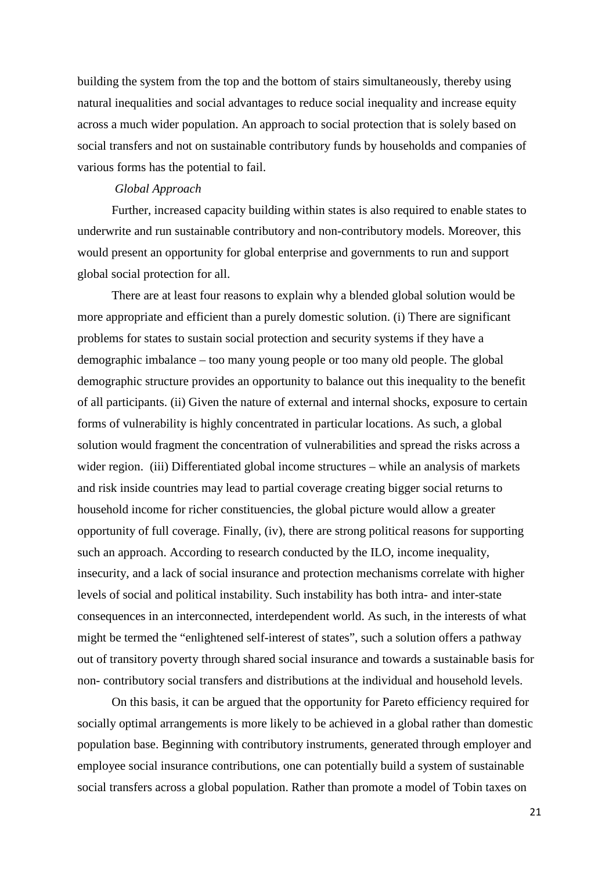building the system from the top and the bottom of stairs simultaneously, thereby using natural inequalities and social advantages to reduce social inequality and increase equity across a much wider population. An approach to social protection that is solely based on social transfers and not on sustainable contributory funds by households and companies of various forms has the potential to fail.

#### *Global Approach*

Further, increased capacity building within states is also required to enable states to underwrite and run sustainable contributory and non-contributory models. Moreover, this would present an opportunity for global enterprise and governments to run and support global social protection for all.

There are at least four reasons to explain why a blended global solution would be more appropriate and efficient than a purely domestic solution. (i) There are significant problems for states to sustain social protection and security systems if they have a demographic imbalance – too many young people or too many old people. The global demographic structure provides an opportunity to balance out this inequality to the benefit of all participants. (ii) Given the nature of external and internal shocks, exposure to certain forms of vulnerability is highly concentrated in particular locations. As such, a global solution would fragment the concentration of vulnerabilities and spread the risks across a wider region. (iii) Differentiated global income structures – while an analysis of markets and risk inside countries may lead to partial coverage creating bigger social returns to household income for richer constituencies, the global picture would allow a greater opportunity of full coverage. Finally, (iv), there are strong political reasons for supporting such an approach. According to research conducted by the ILO, income inequality, insecurity, and a lack of social insurance and protection mechanisms correlate with higher levels of social and political instability. Such instability has both intra- and inter-state consequences in an interconnected, interdependent world. As such, in the interests of what might be termed the "enlightened self-interest of states", such a solution offers a pathway out of transitory poverty through shared social insurance and towards a sustainable basis for non- contributory social transfers and distributions at the individual and household levels.

On this basis, it can be argued that the opportunity for Pareto efficiency required for socially optimal arrangements is more likely to be achieved in a global rather than domestic population base. Beginning with contributory instruments, generated through employer and employee social insurance contributions, one can potentially build a system of sustainable social transfers across a global population. Rather than promote a model of Tobin taxes on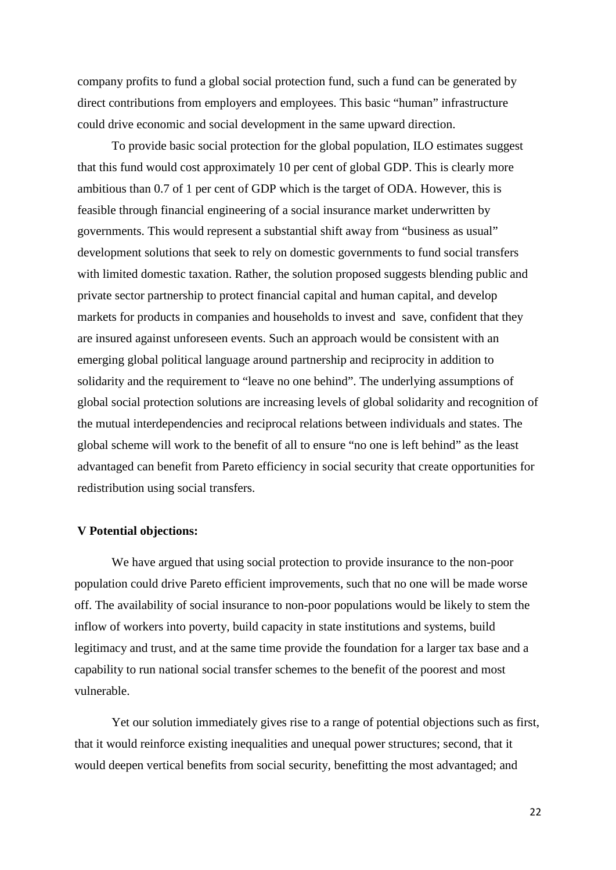company profits to fund a global social protection fund, such a fund can be generated by direct contributions from employers and employees. This basic "human" infrastructure could drive economic and social development in the same upward direction.

To provide basic social protection for the global population, ILO estimates suggest that this fund would cost approximately 10 per cent of global GDP. This is clearly more ambitious than 0.7 of 1 per cent of GDP which is the target of ODA. However, this is feasible through financial engineering of a social insurance market underwritten by governments. This would represent a substantial shift away from "business as usual" development solutions that seek to rely on domestic governments to fund social transfers with limited domestic taxation. Rather, the solution proposed suggests blending public and private sector partnership to protect financial capital and human capital, and develop markets for products in companies and households to invest and save, confident that they are insured against unforeseen events. Such an approach would be consistent with an emerging global political language around partnership and reciprocity in addition to solidarity and the requirement to "leave no one behind". The underlying assumptions of global social protection solutions are increasing levels of global solidarity and recognition of the mutual interdependencies and reciprocal relations between individuals and states. The global scheme will work to the benefit of all to ensure "no one is left behind" as the least advantaged can benefit from Pareto efficiency in social security that create opportunities for redistribution using social transfers.

#### **V Potential objections:**

We have argued that using social protection to provide insurance to the non-poor population could drive Pareto efficient improvements, such that no one will be made worse off. The availability of social insurance to non-poor populations would be likely to stem the inflow of workers into poverty, build capacity in state institutions and systems, build legitimacy and trust, and at the same time provide the foundation for a larger tax base and a capability to run national social transfer schemes to the benefit of the poorest and most vulnerable.

Yet our solution immediately gives rise to a range of potential objections such as first, that it would reinforce existing inequalities and unequal power structures; second, that it would deepen vertical benefits from social security, benefitting the most advantaged; and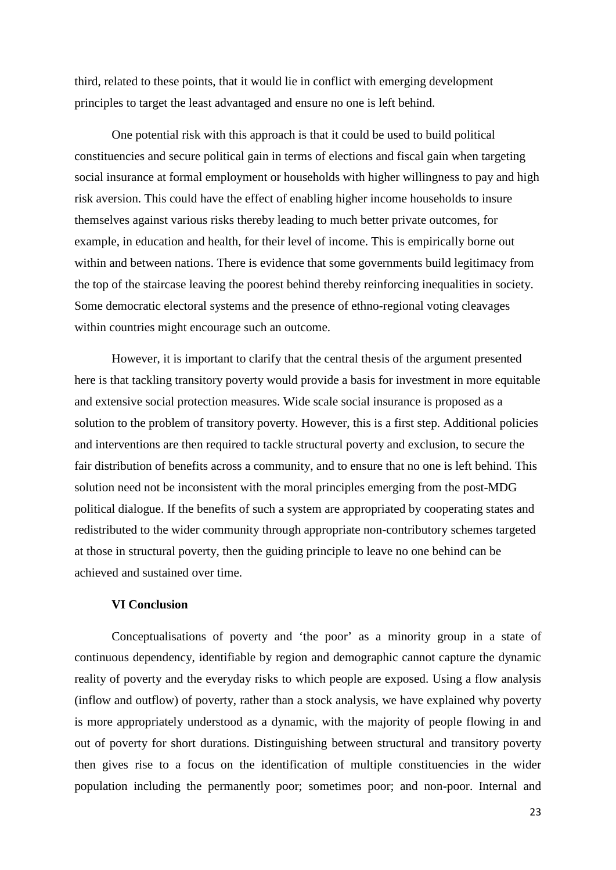third, related to these points, that it would lie in conflict with emerging development principles to target the least advantaged and ensure no one is left behind.

One potential risk with this approach is that it could be used to build political constituencies and secure political gain in terms of elections and fiscal gain when targeting social insurance at formal employment or households with higher willingness to pay and high risk aversion. This could have the effect of enabling higher income households to insure themselves against various risks thereby leading to much better private outcomes, for example, in education and health, for their level of income. This is empirically borne out within and between nations. There is evidence that some governments build legitimacy from the top of the staircase leaving the poorest behind thereby reinforcing inequalities in society. Some democratic electoral systems and the presence of ethno-regional voting cleavages within countries might encourage such an outcome.

However, it is important to clarify that the central thesis of the argument presented here is that tackling transitory poverty would provide a basis for investment in more equitable and extensive social protection measures. Wide scale social insurance is proposed as a solution to the problem of transitory poverty. However, this is a first step. Additional policies and interventions are then required to tackle structural poverty and exclusion, to secure the fair distribution of benefits across a community, and to ensure that no one is left behind. This solution need not be inconsistent with the moral principles emerging from the post-MDG political dialogue. If the benefits of such a system are appropriated by cooperating states and redistributed to the wider community through appropriate non-contributory schemes targeted at those in structural poverty, then the guiding principle to leave no one behind can be achieved and sustained over time.

#### **VI Conclusion**

Conceptualisations of poverty and 'the poor' as a minority group in a state of continuous dependency, identifiable by region and demographic cannot capture the dynamic reality of poverty and the everyday risks to which people are exposed. Using a flow analysis (inflow and outflow) of poverty, rather than a stock analysis, we have explained why poverty is more appropriately understood as a dynamic, with the majority of people flowing in and out of poverty for short durations. Distinguishing between structural and transitory poverty then gives rise to a focus on the identification of multiple constituencies in the wider population including the permanently poor; sometimes poor; and non-poor. Internal and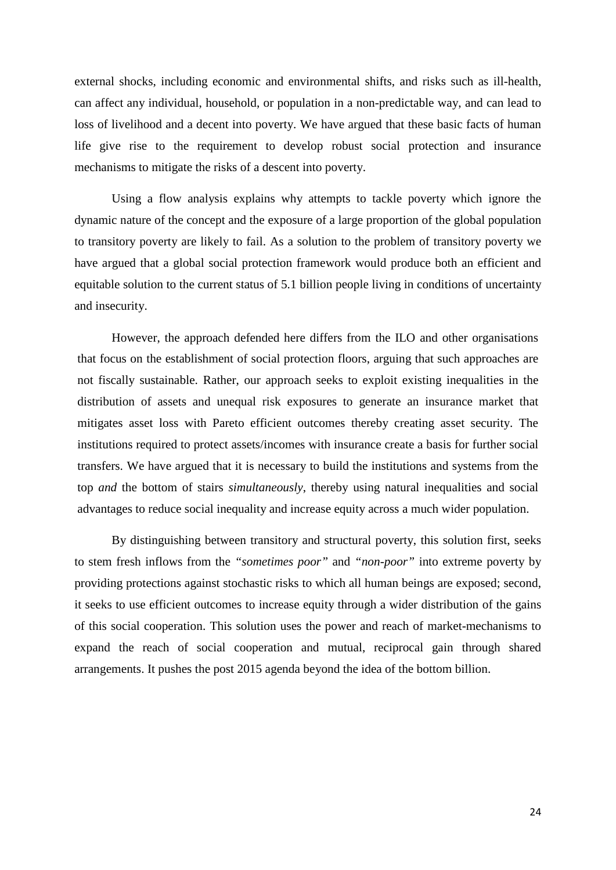external shocks, including economic and environmental shifts, and risks such as ill-health, can affect any individual, household, or population in a non-predictable way, and can lead to loss of livelihood and a decent into poverty. We have argued that these basic facts of human life give rise to the requirement to develop robust social protection and insurance mechanisms to mitigate the risks of a descent into poverty.

Using a flow analysis explains why attempts to tackle poverty which ignore the dynamic nature of the concept and the exposure of a large proportion of the global population to transitory poverty are likely to fail. As a solution to the problem of transitory poverty we have argued that a global social protection framework would produce both an efficient and equitable solution to the current status of 5.1 billion people living in conditions of uncertainty and insecurity.

However, the approach defended here differs from the ILO and other organisations that focus on the establishment of social protection floors, arguing that such approaches are not fiscally sustainable. Rather, our approach seeks to exploit existing inequalities in the distribution of assets and unequal risk exposures to generate an insurance market that mitigates asset loss with Pareto efficient outcomes thereby creating asset security. The institutions required to protect assets/incomes with insurance create a basis for further social transfers. We have argued that it is necessary to build the institutions and systems from the top *and* the bottom of stairs *simultaneously*, thereby using natural inequalities and social advantages to reduce social inequality and increase equity across a much wider population.

By distinguishing between transitory and structural poverty, this solution first, seeks to stem fresh inflows from the *"sometimes poor"* and *"non-poor"* into extreme poverty by providing protections against stochastic risks to which all human beings are exposed; second, it seeks to use efficient outcomes to increase equity through a wider distribution of the gains of this social cooperation. This solution uses the power and reach of market-mechanisms to expand the reach of social cooperation and mutual, reciprocal gain through shared arrangements. It pushes the post 2015 agenda beyond the idea of the bottom billion.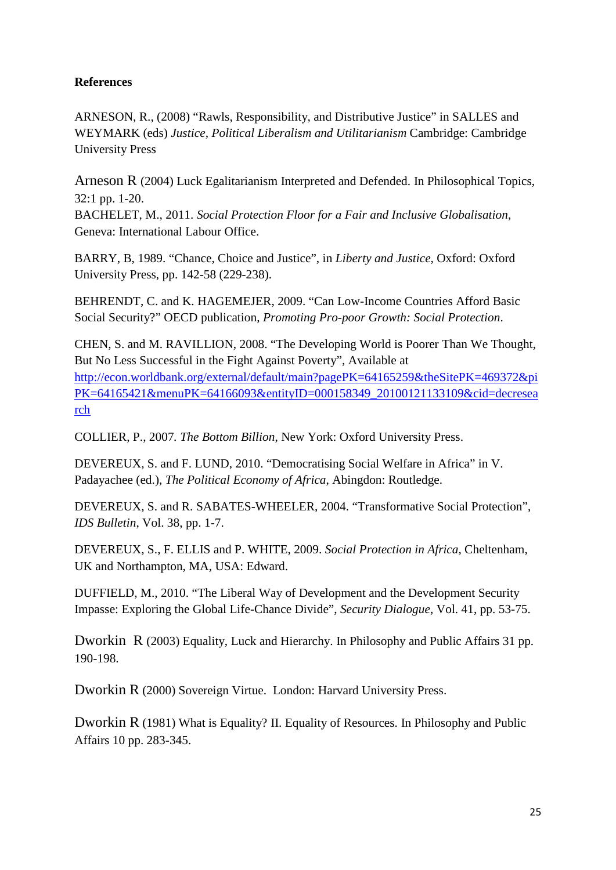## **References**

ARNESON, R., (2008) "Rawls, Responsibility, and Distributive Justice" in SALLES and WEYMARK (eds) *Justice, Political Liberalism and Utilitarianism* Cambridge: Cambridge University Press

Arneson R (2004) Luck Egalitarianism Interpreted and Defended. In Philosophical Topics, 32:1 pp. 1-20.

BACHELET, M., 2011. *Social Protection Floor for a Fair and Inclusive Globalisation*, Geneva: International Labour Office.

BARRY, B, 1989. "Chance, Choice and Justice", in *Liberty and Justice,* Oxford: Oxford University Press, pp. 142-58 (229-238).

BEHRENDT, C. and K. HAGEMEJER, 2009. "Can Low-Income Countries Afford Basic Social Security?" OECD publication, *Promoting Pro-poor Growth: Social Protection*.

CHEN, S. and M. RAVILLION, 2008. "The Developing World is Poorer Than We Thought, But No Less Successful in the Fight Against Poverty", Available at [http://econ.worldbank.org/external/default/main?pagePK=64165259&theSitePK=469372&pi](http://econ.worldbank.org/external/default/main?pagePK=64165259&theSitePK=469372&piPK=64165421&menuPK=64166093&entityID=000158349_20100121133109&cid=decresearch) [PK=64165421&menuPK=64166093&entityID=000158349\\_20100121133109&cid=decresea](http://econ.worldbank.org/external/default/main?pagePK=64165259&theSitePK=469372&piPK=64165421&menuPK=64166093&entityID=000158349_20100121133109&cid=decresearch) [rch](http://econ.worldbank.org/external/default/main?pagePK=64165259&theSitePK=469372&piPK=64165421&menuPK=64166093&entityID=000158349_20100121133109&cid=decresearch)

COLLIER, P., 2007*. The Bottom Billion*, New York: Oxford University Press.

DEVEREUX, S. and F. LUND, 2010. "Democratising Social Welfare in Africa" in V. Padayachee (ed.), *The Political Economy of Africa*, Abingdon: Routledge.

DEVEREUX, S. and R. SABATES-WHEELER, 2004. "Transformative Social Protection", *IDS Bulletin*, Vol. 38, pp. 1-7.

DEVEREUX, S., F. ELLIS and P. WHITE, 2009. *Social Protection in Africa*, Cheltenham, UK and Northampton, MA, USA: Edward.

DUFFIELD, M., 2010. "The Liberal Way of Development and the Development Security Impasse: Exploring the Global Life-Chance Divide", *Security Dialogue*, Vol. 41, pp. 53-75.

Dworkin R (2003) Equality, Luck and Hierarchy. In Philosophy and Public Affairs 31 pp. 190-198.

Dworkin R (2000) Sovereign Virtue. London: Harvard University Press.

Dworkin R (1981) What is Equality? II. Equality of Resources. In Philosophy and Public Affairs 10 pp. 283-345.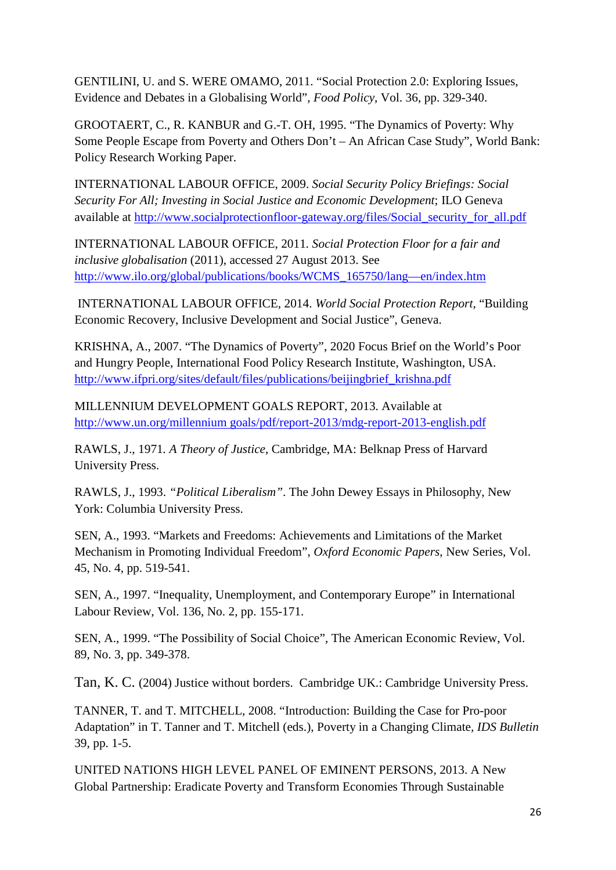GENTILINI, U. and S. WERE OMAMO, 2011. "Social Protection 2.0: Exploring Issues, Evidence and Debates in a Globalising World", *Food Policy*, Vol. 36, pp. 329-340.

GROOTAERT, C., R. KANBUR and G.-T. OH, 1995. "The Dynamics of Poverty: Why Some People Escape from Poverty and Others Don't – An African Case Study", World Bank: Policy Research Working Paper.

INTERNATIONAL LABOUR OFFICE, 2009. *Social Security Policy Briefings: Social Security For All; Investing in Social Justice and Economic Development*; ILO Geneva available at [http://www.socialprotectionfloor-gateway.org/files/Social\\_security\\_for\\_all.pdf](http://www.socialprotectionfloor-gateway.org/files/Social_security_for_all.pdf)

INTERNATIONAL LABOUR OFFICE, 2011*. Social Protection Floor for a fair and inclusive globalisation* (2011), accessed 27 August 2013. See [http://www.ilo.org/global/publications/books/WCMS\\_165750/lang—en/index.htm](http://www.ilo.org/global/publications/books/WCMS_165750/lang—en/index.htm)

INTERNATIONAL LABOUR OFFICE, 2014. *World Social Protection Report*, "Building Economic Recovery, Inclusive Development and Social Justice", Geneva.

KRISHNA, A., 2007. "The Dynamics of Poverty", 2020 Focus Brief on the World's Poor and Hungry People, International Food Policy Research Institute, Washington, USA. [http://www.ifpri.org/sites/default/files/publications/beijingbrief\\_krishna.pdf](http://www.ifpri.org/sites/default/files/publications/beijingbrief_krishna.pdf)

MILLENNIUM DEVELOPMENT GOALS REPORT, 2013. Available at [http://www.un.org/millennium goals/pdf/report-2013/mdg-report-2013-english.pdf](http://www.un.org/millennium%20goals/pdf/report-2013/mdg-report-2013-english.pdf)

RAWLS, J., 1971*. A Theory of Justice*, Cambridge, MA: Belknap Press of Harvard University Press.

RAWLS, J., 1993. *"Political Liberalism"*. The John Dewey Essays in Philosophy, New York: Columbia University Press.

SEN, A., 1993. "Markets and Freedoms: Achievements and Limitations of the Market Mechanism in Promoting Individual Freedom", *Oxford Economic Papers*, New Series, Vol. 45, No. 4, pp. 519-541.

SEN, A., 1997. "Inequality, Unemployment, and Contemporary Europe" in International Labour Review, Vol. 136, No. 2, pp. 155-171.

SEN, A., 1999. "The Possibility of Social Choice", The American Economic Review, Vol. 89, No. 3, pp. 349-378.

Tan, K. C. (2004) Justice without borders. Cambridge UK.: Cambridge University Press.

TANNER, T. and T. MITCHELL, 2008. "Introduction: Building the Case for Pro-poor Adaptation" in T. Tanner and T. Mitchell (eds.), Poverty in a Changing Climate*, IDS Bulletin* 39, pp. 1-5.

UNITED NATIONS HIGH LEVEL PANEL OF EMINENT PERSONS, 2013. A New Global Partnership: Eradicate Poverty and Transform Economies Through Sustainable